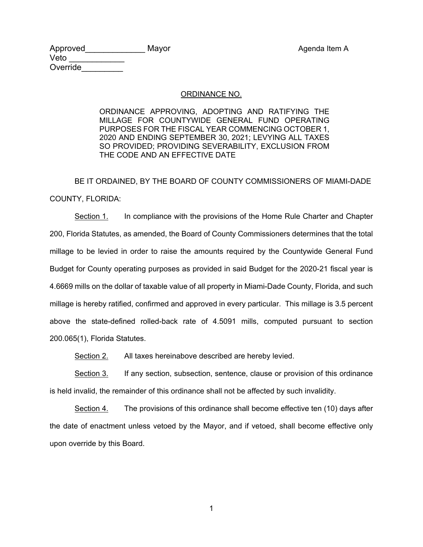Approved Mayor Mayor Agenda Item A Veto \_\_\_\_\_\_\_\_\_\_\_\_ Override

## ORDINANCE NO.

ORDINANCE APPROVING, ADOPTING AND RATIFYING THE MILLAGE FOR COUNTYWIDE GENERAL FUND OPERATING PURPOSES FOR THE FISCAL YEAR COMMENCING OCTOBER 1, 2020 AND ENDING SEPTEMBER 30, 2021; LEVYING ALL TAXES SO PROVIDED; PROVIDING SEVERABILITY, EXCLUSION FROM THE CODE AND AN EFFECTIVE DATE

 BE IT ORDAINED, BY THE BOARD OF COUNTY COMMISSIONERS OF MIAMI-DADE COUNTY, FLORIDA:

Section 1. In compliance with the provisions of the Home Rule Charter and Chapter 200, Florida Statutes, as amended, the Board of County Commissioners determines that the total millage to be levied in order to raise the amounts required by the Countywide General Fund Budget for County operating purposes as provided in said Budget for the 2020-21 fiscal year is 4.6669 mills on the dollar of taxable value of all property in Miami-Dade County, Florida, and such millage is hereby ratified, confirmed and approved in every particular. This millage is 3.5 percent above the state-defined rolled-back rate of 4.5091 mills, computed pursuant to section 200.065(1), Florida Statutes.

Section 2. All taxes hereinabove described are hereby levied.

Section 3. If any section, subsection, sentence, clause or provision of this ordinance is held invalid, the remainder of this ordinance shall not be affected by such invalidity.

 Section 4. The provisions of this ordinance shall become effective ten (10) days after the date of enactment unless vetoed by the Mayor, and if vetoed, shall become effective only upon override by this Board.

1